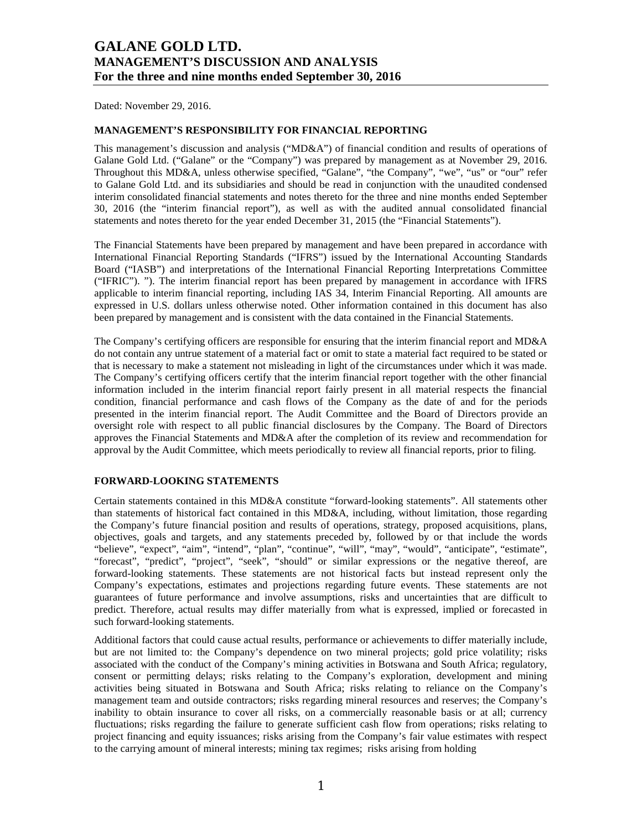Dated: November 29, 2016.

### **MANAGEMENT'S RESPONSIBILITY FOR FINANCIAL REPORTING**

This management's discussion and analysis (" $MD&A$ ") of financial condition and results of operations of Galane Gold Ltd. ("Galane" or the "Company") was prepared by management as at November 29, 2016. Throughout this MD&A, unless otherwise specified, "Galane", "the Company", "we", "us" or "our" refer to Galane Gold Ltd. and its subsidiaries and should be read in conjunction with the unaudited condensed interim consolidated financial statements and notes thereto for the three and nine months ended September 30, 2016 (the "interim financial report"), as well as with the audited annual consolidated financial statements and notes thereto for the year ended December 31, 2015 (the "Financial Statements").

The Financial Statements have been prepared by management and have been prepared in accordance with International Financial Reporting Standards ("IFRS") issued by the International Accounting Standards Board ("IASB") and interpretations of the International Financial Reporting Interpretations Committee ("IFRIC"). "). The interim financial report has been prepared by management in accordance with IFRS applicable to interim financial reporting, including IAS 34, Interim Financial Reporting. All amounts are expressed in U.S. dollars unless otherwise noted. Other information contained in this document has also been prepared by management and is consistent with the data contained in the Financial Statements.

The Company's certifying officers are responsible for ensuring that the interim financial report and MD&A do not contain any untrue statement of a material fact or omit to state a material fact required to be stated or that is necessary to make a statement not misleading in light of the circumstances under which it was made. The Company's certifying officers certify that the interim financial report together with the other financial information included in the interim financial report fairly present in all material respects the financial condition, financial performance and cash flows of the Company as the date of and for the periods presented in the interim financial report. The Audit Committee and the Board of Directors provide an oversight role with respect to all public financial disclosures by the Company. The Board of Directors approves the Financial Statements and MD&A after the completion of its review and recommendation for approval by the Audit Committee, which meets periodically to review all financial reports, prior to filing.

## **FORWARD-LOOKING STATEMENTS**

Certain statements contained in this MD&A constitute "forward-looking statements". All statements other than statements of historical fact contained in this MD&A, including, without limitation, those regarding the Company's future financial position and results of operations, strategy, proposed acquisitions, plans, objectives, goals and targets, and any statements preceded by, followed by or that include the words "believe", "expect", "aim", "intend", "plan", "continue", "will", "may", "would", "anticipate", "estimate", "forecast", "predict", "project", "seek", "should" or similar expressions or the negative thereof, are forward-looking statements. These statements are not historical facts but instead represent only the Company's expectations, estimates and projections regarding future events. These statements are not guarantees of future performance and involve assumptions, risks and uncertainties that are difficult to predict. Therefore, actual results may differ materially from what is expressed, implied or forecasted in such forward-looking statements.

Additional factors that could cause actual results, performance or achievements to differ materially include, but are not limited to: the Company's dependence on two mineral projects; gold price volatility; risks associated with the conduct of the Company's mining activities in Botswana and South Africa; regulatory, consent or permitting delays; risks relating to the Company's exploration, development and mining activities being situated in Botswana and South Africa; risks relating to reliance on the Company's management team and outside contractors; risks regarding mineral resources and reserves; the Company's inability to obtain insurance to cover all risks, on a commercially reasonable basis or at all; currency fluctuations; risks regarding the failure to generate sufficient cash flow from operations; risks relating to project financing and equity issuances; risks arising from the Company's fair value estimates with respect to the carrying amount of mineral interests; mining tax regimes; risks arising from holding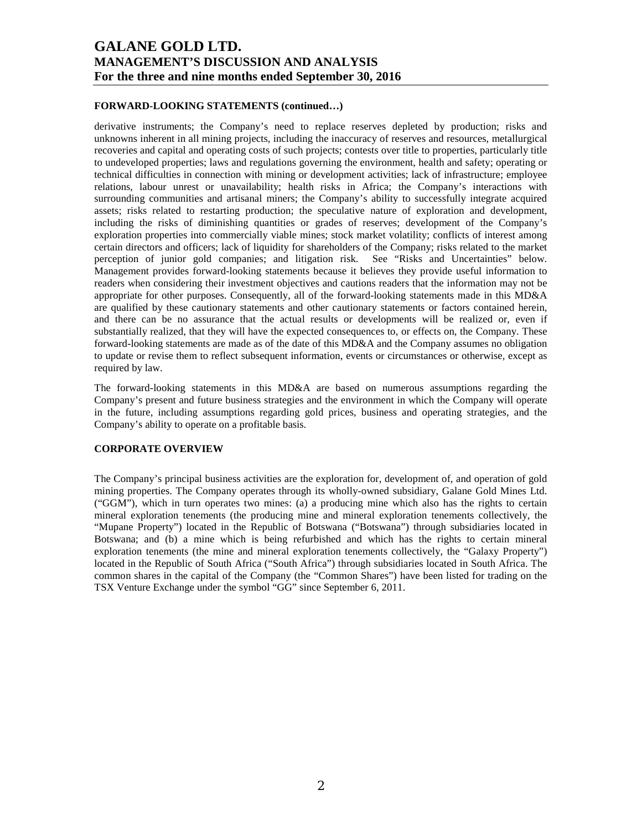### **FORWARD-LOOKING STATEMENTS (continued…)**

derivative instruments; the Company's need to replace reserves depleted by production; risks and unknowns inherent in all mining projects, including the inaccuracy of reserves and resources, metallurgical recoveries and capital and operating costs of such projects; contests over title to properties, particularly title to undeveloped properties; laws and regulations governing the environment, health and safety; operating or technical difficulties in connection with mining or development activities; lack of infrastructure; employee relations, labour unrest or unavailability; health risks in Africa; the Company's interactions with surrounding communities and artisanal miners; the Company's ability to successfully integrate acquired assets; risks related to restarting production; the speculative nature of exploration and development, including the risks of diminishing quantities or grades of reserves; development of the Company's exploration properties into commercially viable mines; stock market volatility; conflicts of interest among certain directors and officers; lack of liquidity for shareholders of the Company; risks related to the market perception of junior gold companies; and litigation risk. See "Risks and Uncertainties" below. Management provides forward-looking statements because it believes they provide useful information to readers when considering their investment objectives and cautions readers that the information may not be appropriate for other purposes. Consequently, all of the forward-looking statements made in this MD&A are qualified by these cautionary statements and other cautionary statements or factors contained herein, and there can be no assurance that the actual results or developments will be realized or, even if substantially realized, that they will have the expected consequences to, or effects on, the Company. These forward-looking statements are made as of the date of this MD&A and the Company assumes no obligation to update or revise them to reflect subsequent information, events or circumstances or otherwise, except as required by law.

The forward-looking statements in this MD&A are based on numerous assumptions regarding the Company's present and future business strategies and the environment in which the Company will operate in the future, including assumptions regarding gold prices, business and operating strategies, and the Company's ability to operate on a profitable basis.

### **CORPORATE OVERVIEW**

The Company's principal business activities are the exploration for, development of, and operation of gold mining properties. The Company operates through its wholly-owned subsidiary, Galane Gold Mines Ltd. ("GGM"), which in turn operates two mines: (a) a producing mine which also has the rights to certain mineral exploration tenements (the producing mine and mineral exploration tenements collectively, the "Mupane Property") located in the Republic of Botswana ("Botswana") through subsidiaries located in Botswana; and (b) a mine which is being refurbished and which has the rights to certain mineral exploration tenements (the mine and mineral exploration tenements collectively, the "Galaxy Property") located in the Republic of South Africa ("South Africa") through subsidiaries located in South Africa. The common shares in the capital of the Company (the "Common Shares") have been listed for trading on the TSX Venture Exchange under the symbol "GG" since September 6, 2011.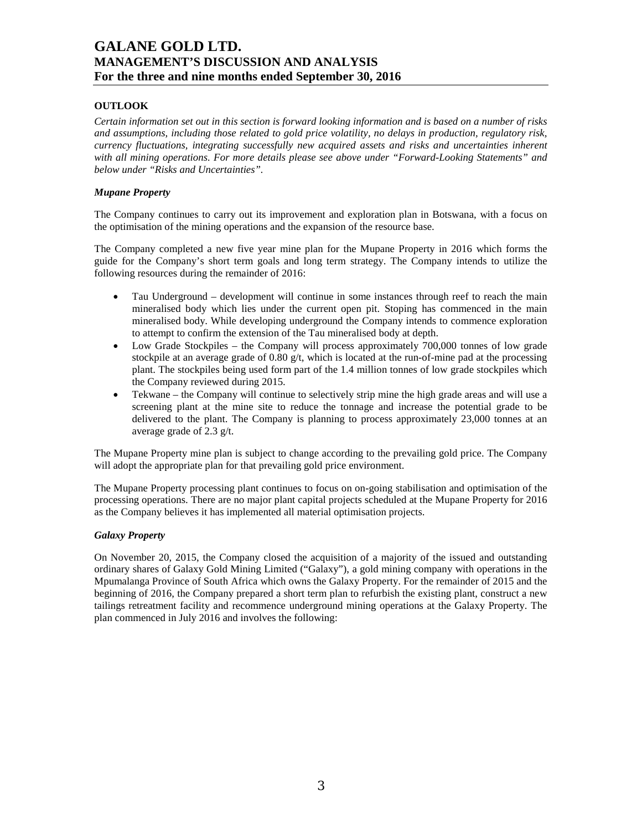# **OUTLOOK**

*Certain information set out in this section is forward looking information and is based on a number of risks and assumptions, including those related to gold price volatility, no delays in production, regulatory risk, currency fluctuations, integrating successfully new acquired assets and risks and uncertainties inherent with all mining operations. For more details please see above under "Forward-Looking Statements" and below under "Risks and Uncertainties".* 

## *Mupane Property*

The Company continues to carry out its improvement and exploration plan in Botswana, with a focus on the optimisation of the mining operations and the expansion of the resource base.

The Company completed a new five year mine plan for the Mupane Property in 2016 which forms the guide for the Company's short term goals and long term strategy. The Company intends to utilize the following resources during the remainder of 2016:

- Tau Underground development will continue in some instances through reef to reach the main mineralised body which lies under the current open pit. Stoping has commenced in the main mineralised body. While developing underground the Company intends to commence exploration to attempt to confirm the extension of the Tau mineralised body at depth.
- Low Grade Stockpiles the Company will process approximately 700,000 tonnes of low grade stockpile at an average grade of  $0.80 \text{ g/t}$ , which is located at the run-of-mine pad at the processing plant. The stockpiles being used form part of the 1.4 million tonnes of low grade stockpiles which the Company reviewed during 2015.
- Tekwane the Company will continue to selectively strip mine the high grade areas and will use a screening plant at the mine site to reduce the tonnage and increase the potential grade to be delivered to the plant. The Company is planning to process approximately 23,000 tonnes at an average grade of 2.3 g/t.

The Mupane Property mine plan is subject to change according to the prevailing gold price. The Company will adopt the appropriate plan for that prevailing gold price environment.

The Mupane Property processing plant continues to focus on on-going stabilisation and optimisation of the processing operations. There are no major plant capital projects scheduled at the Mupane Property for 2016 as the Company believes it has implemented all material optimisation projects.

### *Galaxy Property*

On November 20, 2015, the Company closed the acquisition of a majority of the issued and outstanding ordinary shares of Galaxy Gold Mining Limited ("Galaxy"), a gold mining company with operations in the Mpumalanga Province of South Africa which owns the Galaxy Property. For the remainder of 2015 and the beginning of 2016, the Company prepared a short term plan to refurbish the existing plant, construct a new tailings retreatment facility and recommence underground mining operations at the Galaxy Property. The plan commenced in July 2016 and involves the following: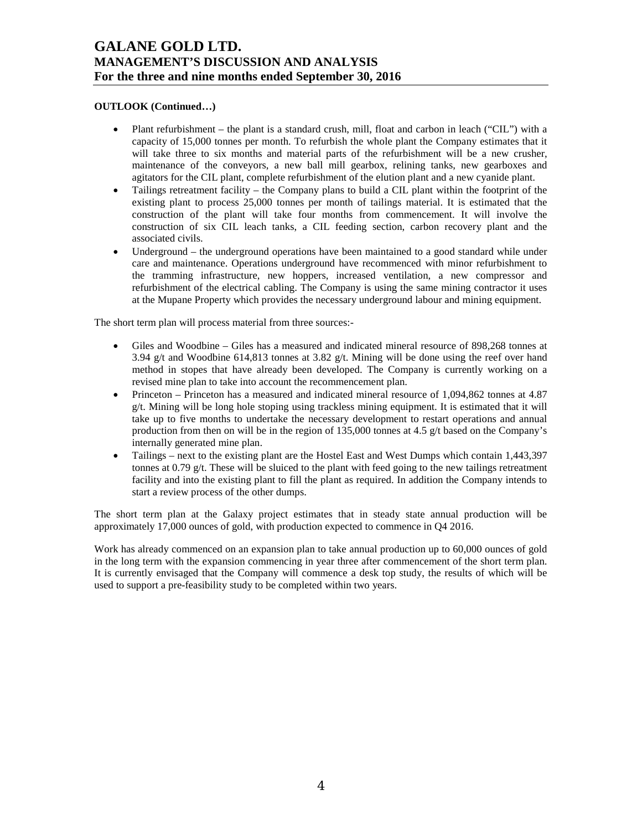# **OUTLOOK (Continued…)**

- Plant refurbishment the plant is a standard crush, mill, float and carbon in leach ("CIL") with a capacity of 15,000 tonnes per month. To refurbish the whole plant the Company estimates that it will take three to six months and material parts of the refurbishment will be a new crusher, maintenance of the conveyors, a new ball mill gearbox, relining tanks, new gearboxes and agitators for the CIL plant, complete refurbishment of the elution plant and a new cyanide plant.
- Tailings retreatment facility the Company plans to build a CIL plant within the footprint of the existing plant to process 25,000 tonnes per month of tailings material. It is estimated that the construction of the plant will take four months from commencement. It will involve the construction of six CIL leach tanks, a CIL feeding section, carbon recovery plant and the associated civils.
- Underground the underground operations have been maintained to a good standard while under care and maintenance. Operations underground have recommenced with minor refurbishment to the tramming infrastructure, new hoppers, increased ventilation, a new compressor and refurbishment of the electrical cabling. The Company is using the same mining contractor it uses at the Mupane Property which provides the necessary underground labour and mining equipment.

The short term plan will process material from three sources:-

- Giles and Woodbine Giles has a measured and indicated mineral resource of 898,268 tonnes at 3.94 g/t and Woodbine 614,813 tonnes at 3.82 g/t. Mining will be done using the reef over hand method in stopes that have already been developed. The Company is currently working on a revised mine plan to take into account the recommencement plan.
- Princeton Princeton has a measured and indicated mineral resource of 1,094,862 tonnes at 4.87 g/t. Mining will be long hole stoping using trackless mining equipment. It is estimated that it will take up to five months to undertake the necessary development to restart operations and annual production from then on will be in the region of 135,000 tonnes at 4.5 g/t based on the Company's internally generated mine plan.
- Tailings next to the existing plant are the Hostel East and West Dumps which contain 1,443,397 tonnes at 0.79 g/t. These will be sluiced to the plant with feed going to the new tailings retreatment facility and into the existing plant to fill the plant as required. In addition the Company intends to start a review process of the other dumps.

The short term plan at the Galaxy project estimates that in steady state annual production will be approximately 17,000 ounces of gold, with production expected to commence in Q4 2016.

Work has already commenced on an expansion plan to take annual production up to 60,000 ounces of gold in the long term with the expansion commencing in year three after commencement of the short term plan. It is currently envisaged that the Company will commence a desk top study, the results of which will be used to support a pre-feasibility study to be completed within two years.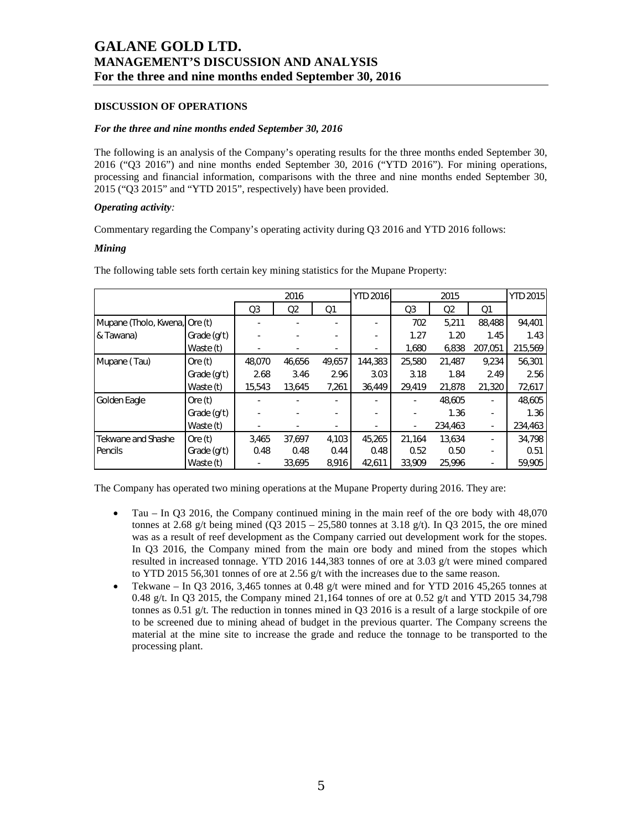## **DISCUSSION OF OPERATIONS**

### *For the three and nine months ended September 30, 2016*

The following is an analysis of the Company's operating results for the three months ended September 30, 2016 ("Q3 2016") and nine months ended September 30, 2016 ("YTD 2016"). For mining operations, processing and financial information, comparisons with the three and nine months ended September 30, 2015 ("Q3 2015" and "YTD 2015", respectively) have been provided.

### *Operating activity:*

Commentary regarding the Company's operating activity during Q3 2016 and YTD 2016 follows:

### *Mining*

|                               |             | 2016           |                |                | YTD 2016 | 2015           |                |                | <b>YTD 2015</b> |
|-------------------------------|-------------|----------------|----------------|----------------|----------|----------------|----------------|----------------|-----------------|
|                               |             | Q <sub>3</sub> | Q <sub>2</sub> | Q <sub>1</sub> |          | Q <sub>3</sub> | Q <sub>2</sub> | Q <sub>1</sub> |                 |
| Mupane (Tholo, Kwena, Ore (t) |             |                |                |                | ٠        | 702            | 5,211          | 88,488         | 94,401          |
| & Tawana)                     | Grade (g/t) |                |                |                |          | 1.27           | 1.20           | 1.45           | 1.43            |
|                               | Waste (t)   |                |                |                |          | 1,680          | 6,838          | 207,051        | 215,569         |
| Mupane (Tau)                  | Ore $(t)$   | 48.070         | 46,656         | 49,657         | 144,383  | 25,580         | 21,487         | 9.234          | 56,301          |
|                               | Grade (g/t) | 2.68           | 3.46           | 2.96           | 3.03     | 3.18           | 1.84           | 2.49           | 2.56            |
|                               | Waste (t)   | 15,543         | 13,645         | 7,261          | 36,449   | 29,419         | 21,878         | 21,320         | 72,617          |
| Golden Eagle                  | Ore $(t)$   |                |                |                |          |                | 48.605         |                | 48,605          |
|                               | Grade (g/t) |                |                |                |          |                | 1.36           |                | 1.36            |
|                               | Waste (t)   |                |                |                |          |                | 234,463        |                | 234,463         |
| Tekwane and Shashe            | Ore(t)      | 3,465          | 37.697         | 4,103          | 45.265   | 21,164         | 13,634         |                | 34.798          |
| Pencils                       | Grade (g/t) | 0.48           | 0.48           | 0.44           | 0.48     | 0.52           | 0.50           |                | 0.51            |
|                               | Waste (t)   |                | 33,695         | 8,916          | 42,611   | 33.909         | 25,996         |                | 59,905          |

The following table sets forth certain key mining statistics for the Mupane Property:

The Company has operated two mining operations at the Mupane Property during 2016. They are:

- Tau In Q3 2016, the Company continued mining in the main reef of the ore body with 48,070 tonnes at 2.68 g/t being mined (Q3 2015 – 25,580 tonnes at 3.18 g/t). In Q3 2015, the ore mined was as a result of reef development as the Company carried out development work for the stopes. In Q3 2016, the Company mined from the main ore body and mined from the stopes which resulted in increased tonnage. YTD 2016 144,383 tonnes of ore at 3.03 g/t were mined compared to YTD 2015 56,301 tonnes of ore at 2.56  $g/t$  with the increases due to the same reason.
- Tekwane In Q3 2016, 3,465 tonnes at 0.48 g/t were mined and for YTD 2016 45,265 tonnes at 0.48 g/t. In Q3 2015, the Company mined 21,164 tonnes of ore at 0.52 g/t and YTD 2015 34,798 tonnes as 0.51 g/t. The reduction in tonnes mined in  $Q3$  2016 is a result of a large stockpile of ore to be screened due to mining ahead of budget in the previous quarter. The Company screens the material at the mine site to increase the grade and reduce the tonnage to be transported to the processing plant.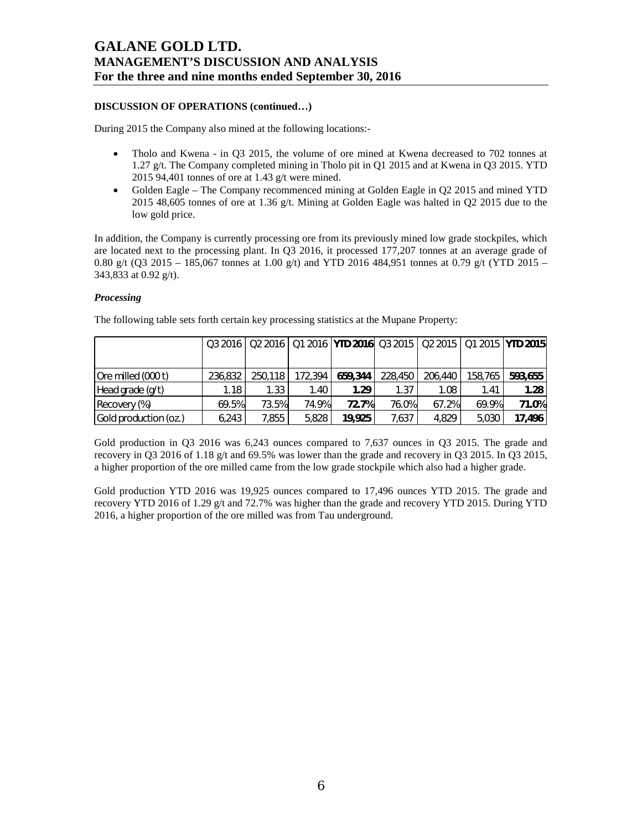# **DISCUSSION OF OPERATIONS (continued…)**

During 2015 the Company also mined at the following locations:-

- Tholo and Kwena in O3 2015, the volume of ore mined at Kwena decreased to 702 tonnes at 1.27 g/t. The Company completed mining in Tholo pit in Q1 2015 and at Kwena in Q3 2015. YTD 2015 94,401 tonnes of ore at 1.43 g/t were mined.
- Golden Eagle The Company recommenced mining at Golden Eagle in Q2 2015 and mined YTD 2015 48,605 tonnes of ore at 1.36 g/t. Mining at Golden Eagle was halted in Q2 2015 due to the low gold price.

In addition, the Company is currently processing ore from its previously mined low grade stockpiles, which are located next to the processing plant. In Q3 2016, it processed 177,207 tonnes at an average grade of 0.80 g/t (Q3 2015 – 185,067 tonnes at 1.00 g/t) and YTD 2016 484,951 tonnes at 0.79 g/t (YTD 2015 – 343,833 at 0.92 g/t).

## *Processing*

|                       |         |         |         |         |         |         |         | Q3 2016   Q2 2016   Q1 2016   YTD 2016   Q3 2015   Q2 2015   Q1 2015   YTD 2015 |
|-----------------------|---------|---------|---------|---------|---------|---------|---------|---------------------------------------------------------------------------------|
| Ore milled (000 t)    | 236.832 | 250.118 | 172.394 | 659,344 | 228,450 | 206,440 | 158.765 | 593,655                                                                         |
| Head grade (g/t)      | 1.18    | 1.33    | 1.40    | 1.29    | 1.37    | 1.08    | 1.41    | 1.28                                                                            |
| Recovery (%)          | 69.5%   | 73.5%   | 74.9%   | 72.7%   | 76.0%   | 67.2%   | 69.9%   | 71.0%                                                                           |
| Gold production (oz.) | 6.243   | 7.855   | 5.828   | 19,925  | 7,637   | 4.829   | 5.030   | 17,496                                                                          |

The following table sets forth certain key processing statistics at the Mupane Property:

Gold production in Q3 2016 was 6,243 ounces compared to 7,637 ounces in Q3 2015. The grade and recovery in Q3 2016 of 1.18 g/t and 69.5% was lower than the grade and recovery in Q3 2015. In Q3 2015, a higher proportion of the ore milled came from the low grade stockpile which also had a higher grade.

Gold production YTD 2016 was 19,925 ounces compared to 17,496 ounces YTD 2015. The grade and recovery YTD 2016 of 1.29 g/t and 72.7% was higher than the grade and recovery YTD 2015. During YTD 2016, a higher proportion of the ore milled was from Tau underground.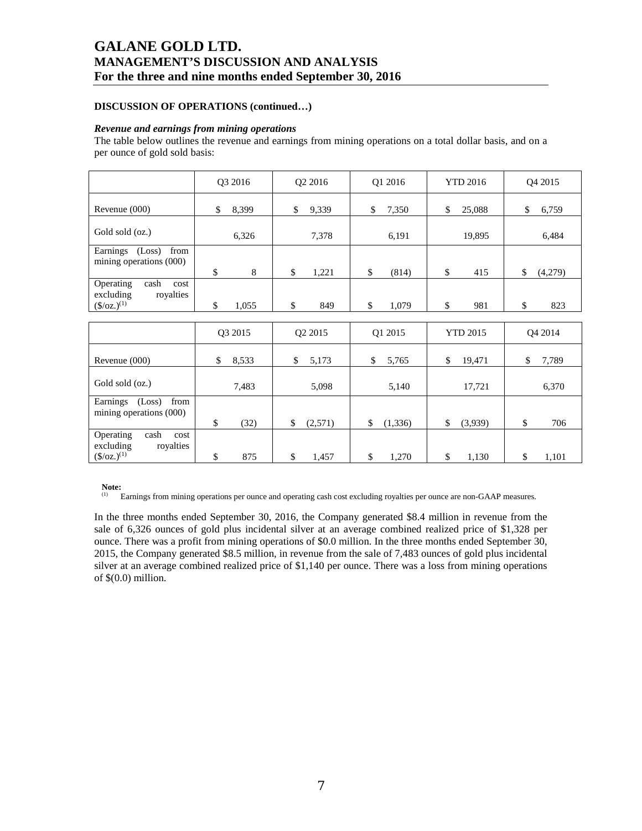# **DISCUSSION OF OPERATIONS (continued…)**

### *Revenue and earnings from mining operations*

The table below outlines the revenue and earnings from mining operations on a total dollar basis, and on a per ounce of gold sold basis:

|                                                                         | Q3 2016     | Q2 2016       | Q1 2016        | <b>YTD 2016</b> | Q4 2015             |
|-------------------------------------------------------------------------|-------------|---------------|----------------|-----------------|---------------------|
| Revenue (000)                                                           | 8,399<br>\$ | \$<br>9,339   | \$<br>7,350    | \$<br>25,088    | \$<br>6,759         |
| Gold sold (oz.)                                                         | 6,326       | 7,378         | 6,191          | 19,895          | 6,484               |
| Earnings (Loss)<br>from<br>mining operations (000)                      | \$<br>8     | \$<br>1,221   | \$<br>(814)    | \$<br>415       | (4,279)<br>\$       |
| Operating<br>cash<br>cost<br>excluding<br>royalties<br>$(\$/oz.)^{(1)}$ | \$<br>1,055 | \$<br>849     | \$<br>1,079    | \$<br>981       | \$<br>823           |
|                                                                         |             |               |                |                 |                     |
|                                                                         | Q3 2015     | Q2 2015       | Q1 2015        | <b>YTD 2015</b> | O <sub>4</sub> 2014 |
| Revenue (000)                                                           | \$<br>8,533 | \$<br>5,173   | \$<br>5,765    | \$<br>19,471    | \$<br>7,789         |
| Gold sold (oz.)                                                         | 7,483       | 5,098         | 5,140          | 17,721          | 6,370               |
| Earnings (Loss)<br>from<br>mining operations (000)                      | \$<br>(32)  | \$<br>(2,571) | \$<br>(1, 336) | \$<br>(3,939)   | \$<br>706           |
| Operating<br>cash<br>cost<br>excluding<br>royalties<br>$(\$/oz.)^{(1)}$ | \$<br>875   | \$<br>1,457   | \$<br>1,270    | \$<br>1,130     | \$<br>1,101         |

#### **Note:**

(1) Earnings from mining operations per ounce and operating cash cost excluding royalties per ounce are non-GAAP measures.

In the three months ended September 30, 2016, the Company generated \$8.4 million in revenue from the sale of 6,326 ounces of gold plus incidental silver at an average combined realized price of \$1,328 per ounce. There was a profit from mining operations of \$0.0 million. In the three months ended September 30, 2015, the Company generated \$8.5 million, in revenue from the sale of 7,483 ounces of gold plus incidental silver at an average combined realized price of \$1,140 per ounce. There was a loss from mining operations of \$(0.0) million.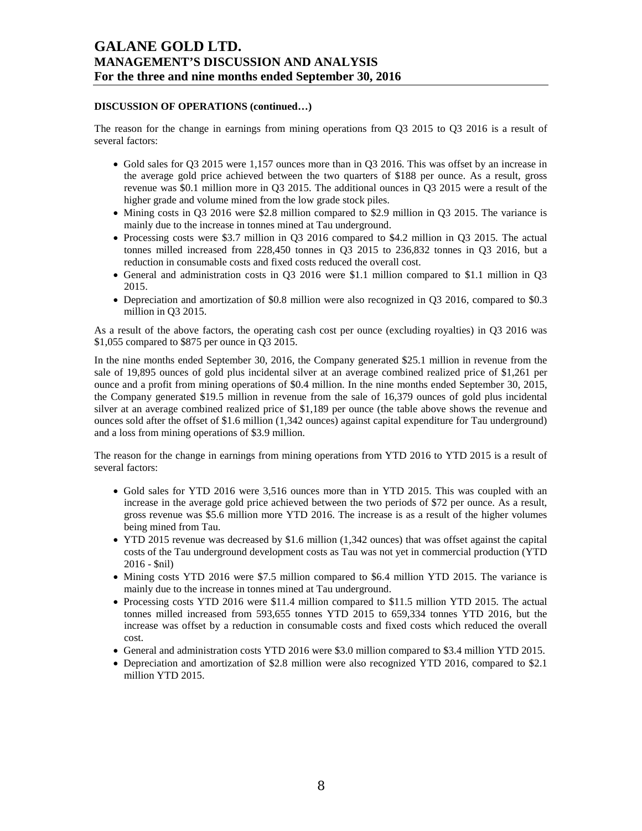## **DISCUSSION OF OPERATIONS (continued…)**

The reason for the change in earnings from mining operations from Q3 2015 to Q3 2016 is a result of several factors:

- Gold sales for Q3 2015 were 1,157 ounces more than in Q3 2016. This was offset by an increase in the average gold price achieved between the two quarters of \$188 per ounce. As a result, gross revenue was \$0.1 million more in Q3 2015. The additional ounces in Q3 2015 were a result of the higher grade and volume mined from the low grade stock piles.
- Mining costs in Q3 2016 were \$2.8 million compared to \$2.9 million in Q3 2015. The variance is mainly due to the increase in tonnes mined at Tau underground.
- Processing costs were \$3.7 million in Q3 2016 compared to \$4.2 million in Q3 2015. The actual tonnes milled increased from 228,450 tonnes in Q3 2015 to 236,832 tonnes in Q3 2016, but a reduction in consumable costs and fixed costs reduced the overall cost.
- General and administration costs in Q3 2016 were \$1.1 million compared to \$1.1 million in Q3 2015.
- Depreciation and amortization of \$0.8 million were also recognized in Q3 2016, compared to \$0.3 million in Q3 2015.

As a result of the above factors, the operating cash cost per ounce (excluding royalties) in Q3 2016 was \$1,055 compared to \$875 per ounce in Q3 2015.

In the nine months ended September 30, 2016, the Company generated \$25.1 million in revenue from the sale of 19,895 ounces of gold plus incidental silver at an average combined realized price of \$1,261 per ounce and a profit from mining operations of \$0.4 million. In the nine months ended September 30, 2015, the Company generated \$19.5 million in revenue from the sale of 16,379 ounces of gold plus incidental silver at an average combined realized price of \$1,189 per ounce (the table above shows the revenue and ounces sold after the offset of \$1.6 million (1,342 ounces) against capital expenditure for Tau underground) and a loss from mining operations of \$3.9 million.

The reason for the change in earnings from mining operations from YTD 2016 to YTD 2015 is a result of several factors:

- Gold sales for YTD 2016 were 3,516 ounces more than in YTD 2015. This was coupled with an increase in the average gold price achieved between the two periods of \$72 per ounce. As a result, gross revenue was \$5.6 million more YTD 2016. The increase is as a result of the higher volumes being mined from Tau.
- YTD 2015 revenue was decreased by \$1.6 million (1,342 ounces) that was offset against the capital costs of the Tau underground development costs as Tau was not yet in commercial production (YTD 2016 - \$nil)
- Mining costs YTD 2016 were \$7.5 million compared to \$6.4 million YTD 2015. The variance is mainly due to the increase in tonnes mined at Tau underground.
- Processing costs YTD 2016 were \$11.4 million compared to \$11.5 million YTD 2015. The actual tonnes milled increased from 593,655 tonnes YTD 2015 to 659,334 tonnes YTD 2016, but the increase was offset by a reduction in consumable costs and fixed costs which reduced the overall cost.
- General and administration costs YTD 2016 were \$3.0 million compared to \$3.4 million YTD 2015.
- Depreciation and amortization of \$2.8 million were also recognized YTD 2016, compared to \$2.1 million YTD 2015.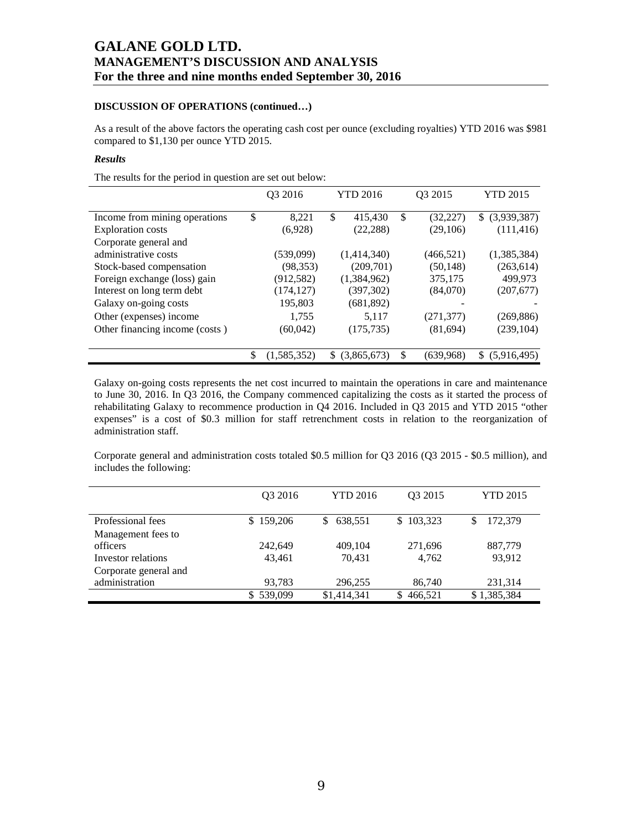# **DISCUSSION OF OPERATIONS (continued…)**

As a result of the above factors the operating cash cost per ounce (excluding royalties) YTD 2016 was \$981 compared to \$1,130 per ounce YTD 2015.

# *Results*

The results for the period in question are set out below:

|                                |           | 03 2016     | <b>YTD 2016</b> |             | Q3 2015 |            | <b>YTD 2015</b>    |
|--------------------------------|-----------|-------------|-----------------|-------------|---------|------------|--------------------|
| Income from mining operations  | \$        | 8,221       | \$              | 415,430     | \$      | (32,227)   | \$ (3,939,387)     |
| <b>Exploration</b> costs       |           | (6,928)     |                 | (22, 288)   |         | (29,106)   | (111, 416)         |
| Corporate general and          |           |             |                 |             |         |            |                    |
| administrative costs           |           | (539,099)   |                 | (1,414,340) |         | (466, 521) | (1,385,384)        |
| Stock-based compensation       |           | (98, 353)   |                 | (209,701)   |         | (50,148)   | (263, 614)         |
| Foreign exchange (loss) gain   |           | (912, 582)  |                 | (1,384,962) |         | 375,175    | 499,973            |
| Interest on long term debt     |           | (174, 127)  |                 | (397, 302)  |         | (84,070)   | (207,677)          |
| Galaxy on-going costs          |           | 195,803     |                 | (681, 892)  |         |            |                    |
| Other (expenses) income        |           | 1,755       |                 | 5,117       |         | (271, 377) | (269, 886)         |
| Other financing income (costs) | (60, 042) |             | (175, 735)      |             |         | (81,694)   | (239, 104)         |
|                                |           | (1,585,352) | SS.             | (3,865,673) | \$      | (639,968)  | S.<br>(5.916, 495) |

Galaxy on-going costs represents the net cost incurred to maintain the operations in care and maintenance to June 30, 2016. In Q3 2016, the Company commenced capitalizing the costs as it started the process of rehabilitating Galaxy to recommence production in Q4 2016. Included in Q3 2015 and YTD 2015 "other expenses" is a cost of \$0.3 million for staff retrenchment costs in relation to the reorganization of administration staff.

Corporate general and administration costs totaled \$0.5 million for Q3 2016 (Q3 2015 - \$0.5 million), and includes the following:

|                       | 03 2016   | <b>YTD 2016</b> | O <sub>3</sub> 2015 | <b>YTD 2015</b> |
|-----------------------|-----------|-----------------|---------------------|-----------------|
|                       |           |                 |                     |                 |
| Professional fees     | \$159,206 | 638,551<br>\$.  | \$103,323           | 172,379         |
| Management fees to    |           |                 |                     |                 |
| officers              | 242,649   | 409.104         | 271,696             | 887,779         |
| Investor relations    | 43.461    | 70,431          | 4,762               | 93.912          |
| Corporate general and |           |                 |                     |                 |
| administration        | 93,783    | 296.255         | 86,740              | 231,314         |
|                       | \$539,099 | \$1,414,341     | 466,521<br>S        | \$1,385,384     |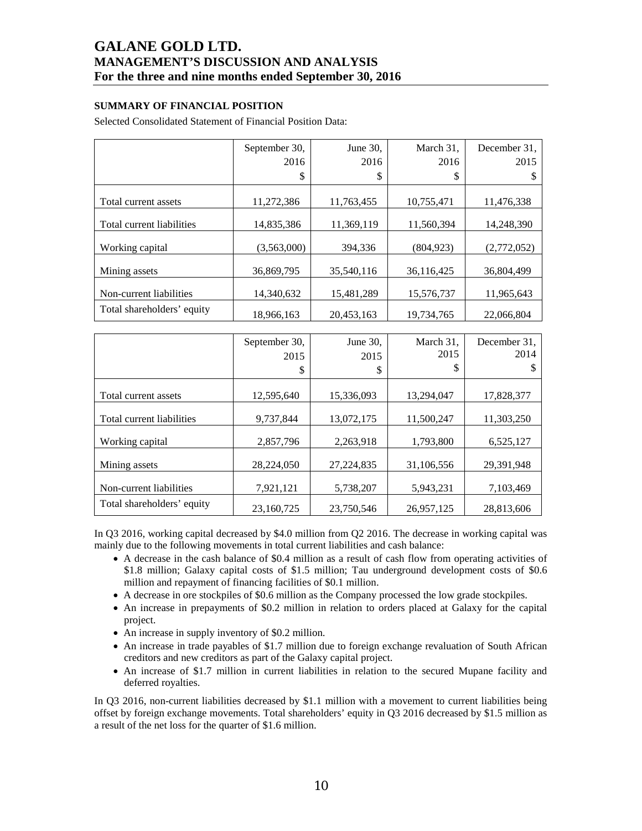# **SUMMARY OF FINANCIAL POSITION**

Selected Consolidated Statement of Financial Position Data:

|                            | September 30, | June 30,   | March 31,  | December 31, |
|----------------------------|---------------|------------|------------|--------------|
|                            | 2016          | 2016       | 2016       | 2015         |
|                            | \$            | \$         | \$         | S            |
|                            |               |            |            |              |
| Total current assets       | 11,272,386    | 11,763,455 | 10,755,471 | 11,476,338   |
|                            |               |            |            |              |
| Total current liabilities  | 14.835.386    | 11.369.119 | 11.560.394 | 14,248,390   |
|                            |               |            |            |              |
| Working capital            | (3,563,000)   | 394,336    | (804, 923) | (2,772,052)  |
|                            |               |            |            |              |
| Mining assets              | 36.869.795    | 35.540.116 | 36,116,425 | 36,804,499   |
|                            |               |            |            |              |
| Non-current liabilities    | 14.340.632    | 15.481.289 | 15,576,737 | 11,965,643   |
| Total shareholders' equity | 18,966,163    | 20,453,163 | 19,734,765 | 22,066,804   |

|                            | September 30,<br>2015<br>\$ | June 30,<br>2015<br>\$ | March 31,<br>2015<br>\$ | December 31,<br>2014<br>S |
|----------------------------|-----------------------------|------------------------|-------------------------|---------------------------|
| Total current assets       | 12,595,640                  | 15,336,093             | 13,294,047              | 17,828,377                |
| Total current liabilities  | 9,737,844                   | 13,072,175             | 11,500,247              | 11,303,250                |
| Working capital            | 2,857,796                   | 2,263,918              | 1,793,800               | 6,525,127                 |
| Mining assets              | 28,224,050                  | 27,224,835             | 31,106,556              | 29,391,948                |
| Non-current liabilities    | 7,921,121                   | 5,738,207              | 5,943,231               | 7,103,469                 |
| Total shareholders' equity | 23,160,725                  | 23,750,546             | 26,957,125              | 28,813,606                |

In Q3 2016, working capital decreased by \$4.0 million from Q2 2016. The decrease in working capital was mainly due to the following movements in total current liabilities and cash balance:

- A decrease in the cash balance of \$0.4 million as a result of cash flow from operating activities of \$1.8 million; Galaxy capital costs of \$1.5 million; Tau underground development costs of \$0.6 million and repayment of financing facilities of \$0.1 million.
- A decrease in ore stockpiles of \$0.6 million as the Company processed the low grade stockpiles.
- An increase in prepayments of \$0.2 million in relation to orders placed at Galaxy for the capital project.
- An increase in supply inventory of \$0.2 million.
- An increase in trade payables of \$1.7 million due to foreign exchange revaluation of South African creditors and new creditors as part of the Galaxy capital project.
- An increase of \$1.7 million in current liabilities in relation to the secured Mupane facility and deferred royalties.

In Q3 2016, non-current liabilities decreased by \$1.1 million with a movement to current liabilities being offset by foreign exchange movements. Total shareholders' equity in Q3 2016 decreased by \$1.5 million as a result of the net loss for the quarter of \$1.6 million.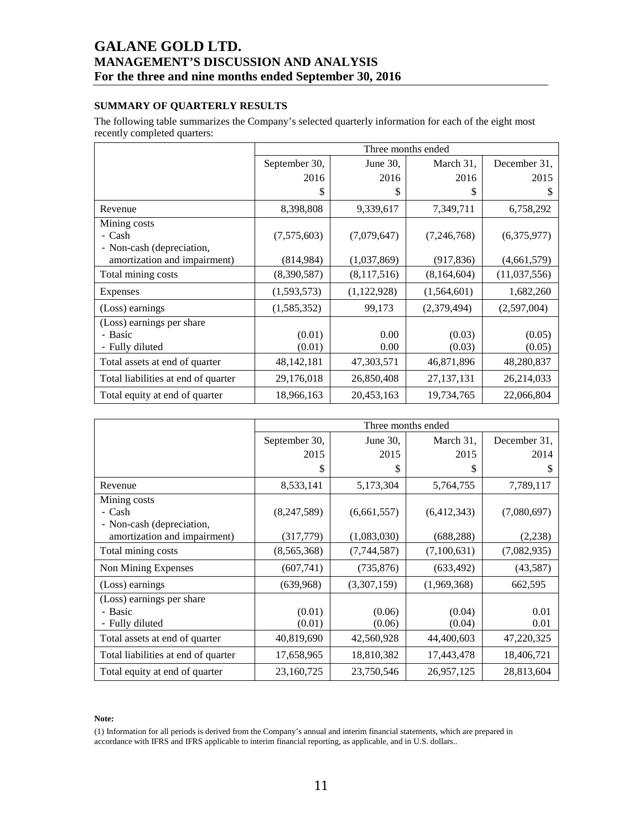# **SUMMARY OF QUARTERLY RESULTS**

The following table summarizes the Company's selected quarterly information for each of the eight most recently completed quarters:

|                                     |               | Three months ended |               |              |  |  |  |  |  |
|-------------------------------------|---------------|--------------------|---------------|--------------|--|--|--|--|--|
|                                     | September 30, | June 30,           | March 31,     | December 31, |  |  |  |  |  |
|                                     | 2016          | 2016               | 2016          | 2015         |  |  |  |  |  |
|                                     | \$            | \$                 | S             | \$           |  |  |  |  |  |
| Revenue                             | 8,398,808     | 9,339,617          | 7,349,711     | 6,758,292    |  |  |  |  |  |
| Mining costs                        |               |                    |               |              |  |  |  |  |  |
| - Cash                              | (7,575,603)   | (7,079,647)        | (7, 246, 768) | (6,375,977)  |  |  |  |  |  |
| - Non-cash (depreciation,           |               |                    |               |              |  |  |  |  |  |
| amortization and impairment)        | (814, 984)    | (1,037,869)        | (917, 836)    | (4,661,579)  |  |  |  |  |  |
| Total mining costs                  | (8,390,587)   | (8,117,516)        | (8,164,604)   | (11,037,556) |  |  |  |  |  |
| <b>Expenses</b>                     | (1,593,573)   | (1,122,928)        | (1,564,601)   | 1,682,260    |  |  |  |  |  |
| (Loss) earnings                     | (1,585,352)   | 99,173             | (2,379,494)   | (2,597,004)  |  |  |  |  |  |
| (Loss) earnings per share           |               |                    |               |              |  |  |  |  |  |
| - Basic                             | (0.01)        | 0.00               | (0.03)        | (0.05)       |  |  |  |  |  |
| - Fully diluted                     | (0.01)        | 0.00               | (0.03)        | (0.05)       |  |  |  |  |  |
| Total assets at end of quarter      | 48, 142, 181  | 47,303,571         | 46,871,896    | 48,280,837   |  |  |  |  |  |
| Total liabilities at end of quarter | 29,176,018    | 26,850,408         | 27, 137, 131  | 26,214,033   |  |  |  |  |  |
| Total equity at end of quarter      | 18,966,163    | 20,453,163         | 19,734,765    | 22,066,804   |  |  |  |  |  |

|                                                         |                  |                  | Three months ended |              |
|---------------------------------------------------------|------------------|------------------|--------------------|--------------|
|                                                         | September 30,    | June 30,         | March 31,          | December 31, |
|                                                         | 2015             | 2015             | 2015               | 2014         |
|                                                         | \$               | S                | \$                 | S            |
| Revenue                                                 | 8,533,141        | 5,173,304        | 5,764,755          | 7,789,117    |
| Mining costs<br>- Cash<br>- Non-cash (depreciation,     | (8,247,589)      | (6,661,557)      | (6,412,343)        | (7,080,697)  |
| amortization and impairment)                            | (317, 779)       | (1,083,030)      | (688, 288)         | (2,238)      |
| Total mining costs                                      | (8,565,368)      | (7,744,587)      | (7,100,631)        | (7,082,935)  |
| Non Mining Expenses                                     | (607,741)        | (735, 876)       | (633, 492)         | (43,587)     |
| (Loss) earnings                                         | (639,968)        | (3,307,159)      | (1,969,368)        | 662,595      |
| (Loss) earnings per share<br>- Basic<br>- Fully diluted | (0.01)<br>(0.01) | (0.06)<br>(0.06) | (0.04)<br>(0.04)   | 0.01<br>0.01 |
| Total assets at end of quarter                          | 40,819,690       | 42,560,928       | 44,400,603         | 47,220,325   |
| Total liabilities at end of quarter                     | 17,658,965       | 18,810,382       | 17,443,478         | 18,406,721   |
| Total equity at end of quarter                          | 23,160,725       | 23,750,546       | 26,957,125         | 28,813,604   |

#### **Note:**

(1) Information for all periods is derived from the Company's annual and interim financial statements, which are prepared in accordance with IFRS and IFRS applicable to interim financial reporting, as applicable, and in U.S. dollars..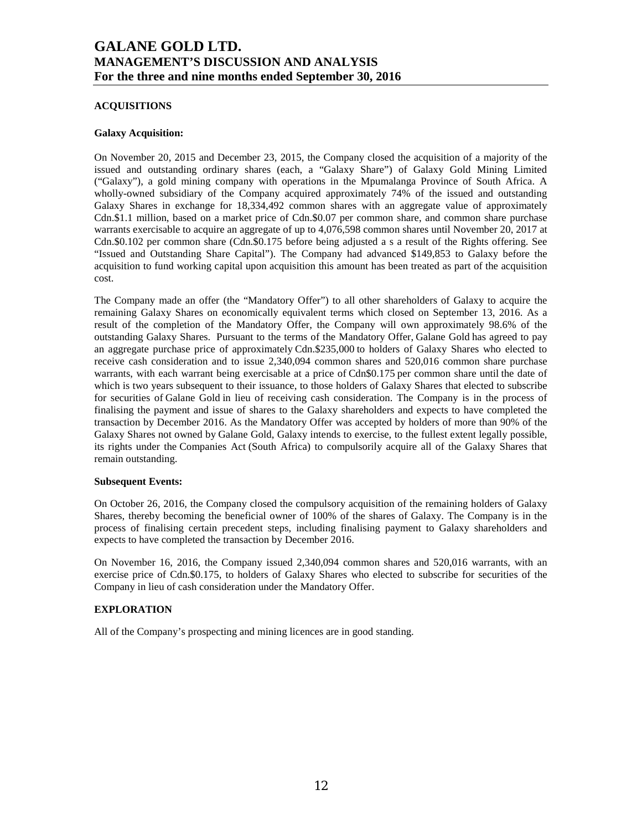## **ACQUISITIONS**

### **Galaxy Acquisition:**

On November 20, 2015 and December 23, 2015, the Company closed the acquisition of a majority of the issued and outstanding ordinary shares (each, a "Galaxy Share") of Galaxy Gold Mining Limited ("Galaxy"), a gold mining company with operations in the Mpumalanga Province of South Africa. A wholly-owned subsidiary of the Company acquired approximately 74% of the issued and outstanding Galaxy Shares in exchange for 18,334,492 common shares with an aggregate value of approximately Cdn.\$1.1 million, based on a market price of Cdn.\$0.07 per common share, and common share purchase warrants exercisable to acquire an aggregate of up to 4,076,598 common shares until November 20, 2017 at Cdn.\$0.102 per common share (Cdn.\$0.175 before being adjusted a s a result of the Rights offering. See "Issued and Outstanding Share Capital"). The Company had advanced \$149,853 to Galaxy before the acquisition to fund working capital upon acquisition this amount has been treated as part of the acquisition cost.

The Company made an offer (the "Mandatory Offer") to all other shareholders of Galaxy to acquire the remaining Galaxy Shares on economically equivalent terms which closed on September 13, 2016. As a result of the completion of the Mandatory Offer, the Company will own approximately 98.6% of the outstanding Galaxy Shares. Pursuant to the terms of the Mandatory Offer, Galane Gold has agreed to pay an aggregate purchase price of approximately Cdn.\$235,000 to holders of Galaxy Shares who elected to receive cash consideration and to issue 2,340,094 common shares and 520,016 common share purchase warrants, with each warrant being exercisable at a price of Cdn\$0.175 per common share until the date of which is two years subsequent to their issuance, to those holders of Galaxy Shares that elected to subscribe for securities of Galane Gold in lieu of receiving cash consideration. The Company is in the process of finalising the payment and issue of shares to the Galaxy shareholders and expects to have completed the transaction by December 2016. As the Mandatory Offer was accepted by holders of more than 90% of the Galaxy Shares not owned by Galane Gold, Galaxy intends to exercise, to the fullest extent legally possible, its rights under the Companies Act (South Africa) to compulsorily acquire all of the Galaxy Shares that remain outstanding.

### **Subsequent Events:**

On October 26, 2016, the Company closed the compulsory acquisition of the remaining holders of Galaxy Shares, thereby becoming the beneficial owner of 100% of the shares of Galaxy. The Company is in the process of finalising certain precedent steps, including finalising payment to Galaxy shareholders and expects to have completed the transaction by December 2016.

On November 16, 2016, the Company issued 2,340,094 common shares and 520,016 warrants, with an exercise price of Cdn.\$0.175, to holders of Galaxy Shares who elected to subscribe for securities of the Company in lieu of cash consideration under the Mandatory Offer.

# **EXPLORATION**

All of the Company's prospecting and mining licences are in good standing.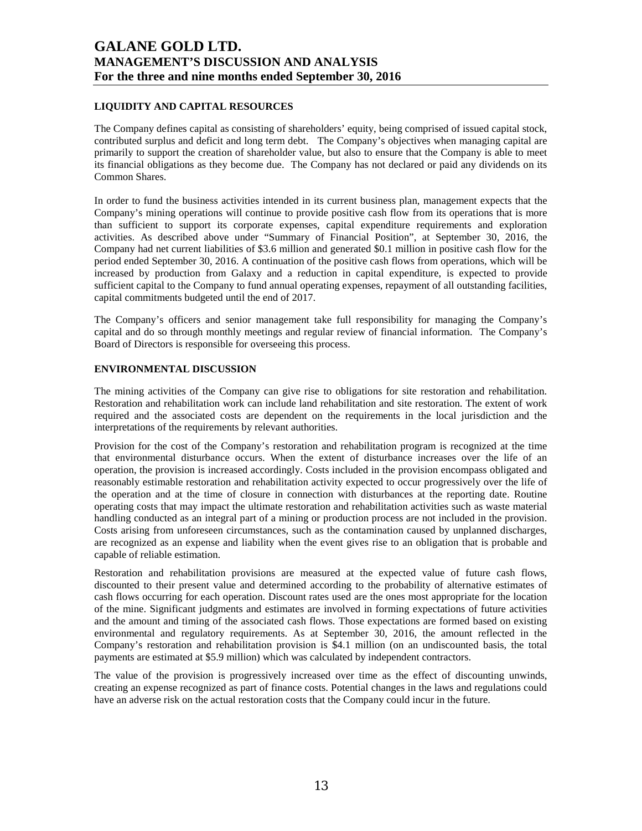# **LIQUIDITY AND CAPITAL RESOURCES**

The Company defines capital as consisting of shareholders' equity, being comprised of issued capital stock, contributed surplus and deficit and long term debt. The Company's objectives when managing capital are primarily to support the creation of shareholder value, but also to ensure that the Company is able to meet its financial obligations as they become due. The Company has not declared or paid any dividends on its Common Shares.

In order to fund the business activities intended in its current business plan, management expects that the Company's mining operations will continue to provide positive cash flow from its operations that is more than sufficient to support its corporate expenses, capital expenditure requirements and exploration activities. As described above under "Summary of Financial Position", at September 30, 2016, the Company had net current liabilities of \$3.6 million and generated \$0.1 million in positive cash flow for the period ended September 30, 2016. A continuation of the positive cash flows from operations, which will be increased by production from Galaxy and a reduction in capital expenditure, is expected to provide sufficient capital to the Company to fund annual operating expenses, repayment of all outstanding facilities, capital commitments budgeted until the end of 2017.

The Company's officers and senior management take full responsibility for managing the Company's capital and do so through monthly meetings and regular review of financial information. The Company's Board of Directors is responsible for overseeing this process.

### **ENVIRONMENTAL DISCUSSION**

The mining activities of the Company can give rise to obligations for site restoration and rehabilitation. Restoration and rehabilitation work can include land rehabilitation and site restoration. The extent of work required and the associated costs are dependent on the requirements in the local jurisdiction and the interpretations of the requirements by relevant authorities.

Provision for the cost of the Company's restoration and rehabilitation program is recognized at the time that environmental disturbance occurs. When the extent of disturbance increases over the life of an operation, the provision is increased accordingly. Costs included in the provision encompass obligated and reasonably estimable restoration and rehabilitation activity expected to occur progressively over the life of the operation and at the time of closure in connection with disturbances at the reporting date. Routine operating costs that may impact the ultimate restoration and rehabilitation activities such as waste material handling conducted as an integral part of a mining or production process are not included in the provision. Costs arising from unforeseen circumstances, such as the contamination caused by unplanned discharges, are recognized as an expense and liability when the event gives rise to an obligation that is probable and capable of reliable estimation.

Restoration and rehabilitation provisions are measured at the expected value of future cash flows, discounted to their present value and determined according to the probability of alternative estimates of cash flows occurring for each operation. Discount rates used are the ones most appropriate for the location of the mine. Significant judgments and estimates are involved in forming expectations of future activities and the amount and timing of the associated cash flows. Those expectations are formed based on existing environmental and regulatory requirements. As at September 30, 2016, the amount reflected in the Company's restoration and rehabilitation provision is \$4.1 million (on an undiscounted basis, the total payments are estimated at \$5.9 million) which was calculated by independent contractors.

The value of the provision is progressively increased over time as the effect of discounting unwinds, creating an expense recognized as part of finance costs. Potential changes in the laws and regulations could have an adverse risk on the actual restoration costs that the Company could incur in the future.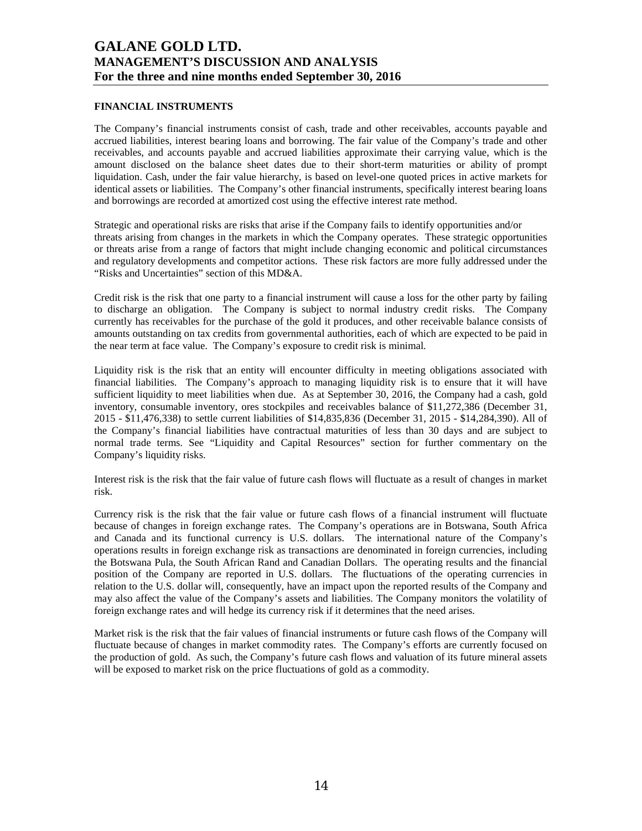## **FINANCIAL INSTRUMENTS**

The Company's financial instruments consist of cash, trade and other receivables, accounts payable and accrued liabilities, interest bearing loans and borrowing. The fair value of the Company's trade and other receivables, and accounts payable and accrued liabilities approximate their carrying value, which is the amount disclosed on the balance sheet dates due to their short-term maturities or ability of prompt liquidation. Cash, under the fair value hierarchy, is based on level-one quoted prices in active markets for identical assets or liabilities. The Company's other financial instruments, specifically interest bearing loans and borrowings are recorded at amortized cost using the effective interest rate method.

Strategic and operational risks are risks that arise if the Company fails to identify opportunities and/or threats arising from changes in the markets in which the Company operates. These strategic opportunities or threats arise from a range of factors that might include changing economic and political circumstances and regulatory developments and competitor actions. These risk factors are more fully addressed under the "Risks and Uncertainties" section of this MD&A.

Credit risk is the risk that one party to a financial instrument will cause a loss for the other party by failing to discharge an obligation. The Company is subject to normal industry credit risks. The Company currently has receivables for the purchase of the gold it produces, and other receivable balance consists of amounts outstanding on tax credits from governmental authorities, each of which are expected to be paid in the near term at face value. The Company's exposure to credit risk is minimal.

Liquidity risk is the risk that an entity will encounter difficulty in meeting obligations associated with financial liabilities. The Company's approach to managing liquidity risk is to ensure that it will have sufficient liquidity to meet liabilities when due. As at September 30, 2016, the Company had a cash, gold inventory, consumable inventory, ores stockpiles and receivables balance of \$11,272,386 (December 31, 2015 - \$11,476,338) to settle current liabilities of \$14,835,836 (December 31, 2015 - \$14,284,390). All of the Company's financial liabilities have contractual maturities of less than 30 days and are subject to normal trade terms. See "Liquidity and Capital Resources" section for further commentary on the Company's liquidity risks.

Interest risk is the risk that the fair value of future cash flows will fluctuate as a result of changes in market risk.

Currency risk is the risk that the fair value or future cash flows of a financial instrument will fluctuate because of changes in foreign exchange rates. The Company's operations are in Botswana, South Africa and Canada and its functional currency is U.S. dollars. The international nature of the Company's operations results in foreign exchange risk as transactions are denominated in foreign currencies, including the Botswana Pula, the South African Rand and Canadian Dollars. The operating results and the financial position of the Company are reported in U.S. dollars. The fluctuations of the operating currencies in relation to the U.S. dollar will, consequently, have an impact upon the reported results of the Company and may also affect the value of the Company's assets and liabilities. The Company monitors the volatility of foreign exchange rates and will hedge its currency risk if it determines that the need arises.

Market risk is the risk that the fair values of financial instruments or future cash flows of the Company will fluctuate because of changes in market commodity rates. The Company's efforts are currently focused on the production of gold. As such, the Company's future cash flows and valuation of its future mineral assets will be exposed to market risk on the price fluctuations of gold as a commodity.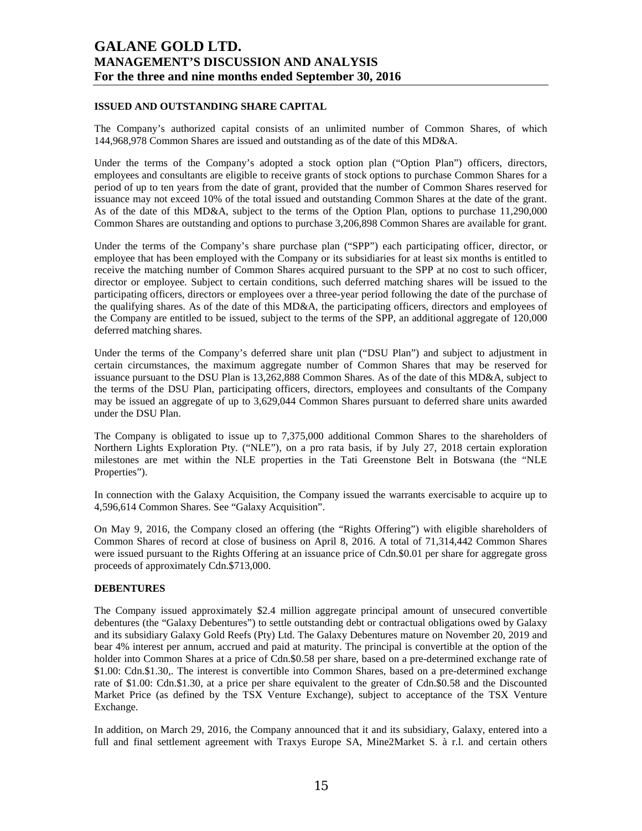## **ISSUED AND OUTSTANDING SHARE CAPITAL**

The Company's authorized capital consists of an unlimited number of Common Shares, of which 144,968,978 Common Shares are issued and outstanding as of the date of this MD&A.

Under the terms of the Company's adopted a stock option plan ("Option Plan") officers, directors, employees and consultants are eligible to receive grants of stock options to purchase Common Shares for a period of up to ten years from the date of grant, provided that the number of Common Shares reserved for issuance may not exceed 10% of the total issued and outstanding Common Shares at the date of the grant. As of the date of this MD&A, subject to the terms of the Option Plan, options to purchase 11,290,000 Common Shares are outstanding and options to purchase 3,206,898 Common Shares are available for grant.

Under the terms of the Company's share purchase plan ("SPP") each participating officer, director, or employee that has been employed with the Company or its subsidiaries for at least six months is entitled to receive the matching number of Common Shares acquired pursuant to the SPP at no cost to such officer, director or employee. Subject to certain conditions, such deferred matching shares will be issued to the participating officers, directors or employees over a three-year period following the date of the purchase of the qualifying shares. As of the date of this MD&A, the participating officers, directors and employees of the Company are entitled to be issued, subject to the terms of the SPP, an additional aggregate of 120,000 deferred matching shares.

Under the terms of the Company's deferred share unit plan ("DSU Plan") and subject to adjustment in certain circumstances, the maximum aggregate number of Common Shares that may be reserved for issuance pursuant to the DSU Plan is 13,262,888 Common Shares. As of the date of this MD&A, subject to the terms of the DSU Plan, participating officers, directors, employees and consultants of the Company may be issued an aggregate of up to 3,629,044 Common Shares pursuant to deferred share units awarded under the DSU Plan.

The Company is obligated to issue up to 7,375,000 additional Common Shares to the shareholders of Northern Lights Exploration Pty. ("NLE"), on a pro rata basis, if by July 27, 2018 certain exploration milestones are met within the NLE properties in the Tati Greenstone Belt in Botswana (the "NLE Properties").

In connection with the Galaxy Acquisition, the Company issued the warrants exercisable to acquire up to 4,596,614 Common Shares. See "Galaxy Acquisition".

On May 9, 2016, the Company closed an offering (the "Rights Offering") with eligible shareholders of Common Shares of record at close of business on April 8, 2016. A total of 71,314,442 Common Shares were issued pursuant to the Rights Offering at an issuance price of Cdn.\$0.01 per share for aggregate gross proceeds of approximately Cdn.\$713,000.

### **DEBENTURES**

The Company issued approximately \$2.4 million aggregate principal amount of unsecured convertible debentures (the "Galaxy Debentures") to settle outstanding debt or contractual obligations owed by Galaxy and its subsidiary Galaxy Gold Reefs (Pty) Ltd. The Galaxy Debentures mature on November 20, 2019 and bear 4% interest per annum, accrued and paid at maturity. The principal is convertible at the option of the holder into Common Shares at a price of Cdn.\$0.58 per share, based on a pre-determined exchange rate of \$1.00: Cdn.\$1.30,. The interest is convertible into Common Shares, based on a pre-determined exchange rate of \$1.00: Cdn.\$1.30, at a price per share equivalent to the greater of Cdn.\$0.58 and the Discounted Market Price (as defined by the TSX Venture Exchange), subject to acceptance of the TSX Venture Exchange.

In addition, on March 29, 2016, the Company announced that it and its subsidiary, Galaxy, entered into a full and final settlement agreement with Traxys Europe SA, Mine2Market S. à r.l. and certain others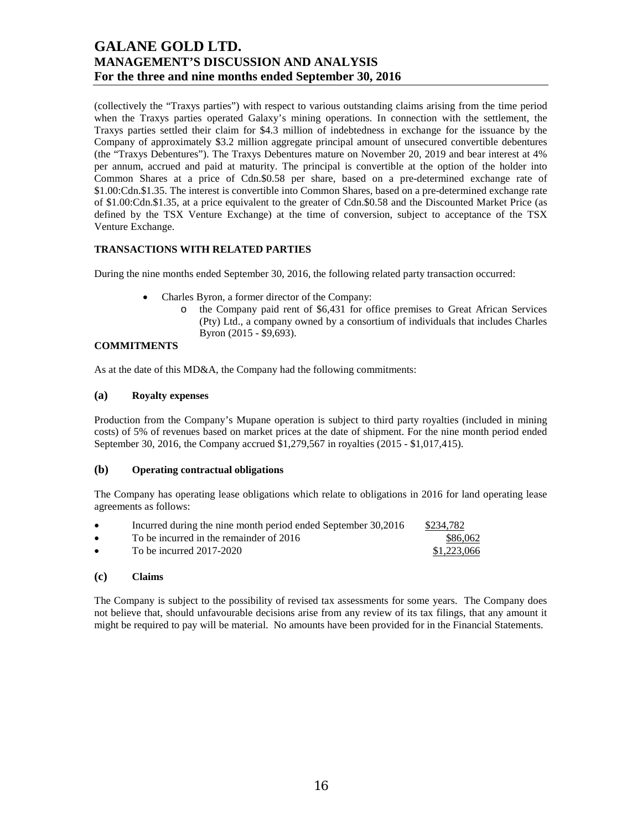(collectively the "Traxys parties") with respect to various outstanding claims arising from the time period when the Traxys parties operated Galaxy's mining operations. In connection with the settlement, the Traxys parties settled their claim for \$4.3 million of indebtedness in exchange for the issuance by the Company of approximately \$3.2 million aggregate principal amount of unsecured convertible debentures (the "Traxys Debentures"). The Traxys Debentures mature on November 20, 2019 and bear interest at 4% per annum, accrued and paid at maturity. The principal is convertible at the option of the holder into Common Shares at a price of Cdn.\$0.58 per share, based on a pre-determined exchange rate of \$1.00:Cdn.\$1.35. The interest is convertible into Common Shares, based on a pre-determined exchange rate of \$1.00:Cdn.\$1.35, at a price equivalent to the greater of Cdn.\$0.58 and the Discounted Market Price (as defined by the TSX Venture Exchange) at the time of conversion, subject to acceptance of the TSX Venture Exchange.

## **TRANSACTIONS WITH RELATED PARTIES**

During the nine months ended September 30, 2016, the following related party transaction occurred:

- Charles Byron, a former director of the Company:
	- o the Company paid rent of \$6,431 for office premises to Great African Services (Pty) Ltd., a company owned by a consortium of individuals that includes Charles Byron (2015 - \$9,693).

# **COMMITMENTS**

As at the date of this MD&A, the Company had the following commitments:

### **(a) Royalty expenses**

Production from the Company's Mupane operation is subject to third party royalties (included in mining costs) of 5% of revenues based on market prices at the date of shipment. For the nine month period ended September 30, 2016, the Company accrued \$1,279,567 in royalties (2015 - \$1,017,415).

## **(b) Operating contractual obligations**

The Company has operating lease obligations which relate to obligations in 2016 for land operating lease agreements as follows:

| $\bullet$ | Incurred during the nine month period ended September 30,2016 | \$234.782   |
|-----------|---------------------------------------------------------------|-------------|
| $\bullet$ | To be incurred in the remainder of 2016                       | \$86,062    |
| $\bullet$ | To be incurred $2017-2020$                                    | \$1,223,066 |

### **(c) Claims**

The Company is subject to the possibility of revised tax assessments for some years. The Company does not believe that, should unfavourable decisions arise from any review of its tax filings, that any amount it might be required to pay will be material. No amounts have been provided for in the Financial Statements.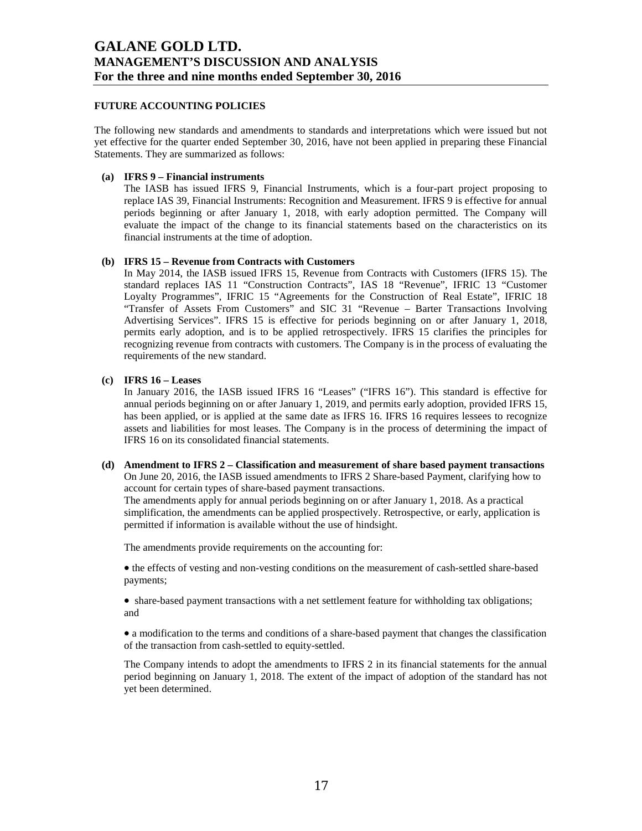## **FUTURE ACCOUNTING POLICIES**

The following new standards and amendments to standards and interpretations which were issued but not yet effective for the quarter ended September 30, 2016, have not been applied in preparing these Financial Statements. They are summarized as follows:

### **(a) IFRS 9 – Financial instruments**

The IASB has issued IFRS 9, Financial Instruments, which is a four-part project proposing to replace IAS 39, Financial Instruments: Recognition and Measurement. IFRS 9 is effective for annual periods beginning or after January 1, 2018, with early adoption permitted. The Company will evaluate the impact of the change to its financial statements based on the characteristics on its financial instruments at the time of adoption.

### **(b) IFRS 15 – Revenue from Contracts with Customers**

In May 2014, the IASB issued IFRS 15, Revenue from Contracts with Customers (IFRS 15). The standard replaces IAS 11 "Construction Contracts", IAS 18 "Revenue", IFRIC 13 "Customer Loyalty Programmes", IFRIC 15 "Agreements for the Construction of Real Estate", IFRIC 18 "Transfer of Assets From Customers" and SIC 31 "Revenue – Barter Transactions Involving Advertising Services". IFRS 15 is effective for periods beginning on or after January 1, 2018, permits early adoption, and is to be applied retrospectively. IFRS 15 clarifies the principles for recognizing revenue from contracts with customers. The Company is in the process of evaluating the requirements of the new standard.

### **(c) IFRS 16 – Leases**

In January 2016, the IASB issued IFRS 16 "Leases" ("IFRS 16"). This standard is effective for annual periods beginning on or after January 1, 2019, and permits early adoption, provided IFRS 15, has been applied, or is applied at the same date as IFRS 16. IFRS 16 requires lessees to recognize assets and liabilities for most leases. The Company is in the process of determining the impact of IFRS 16 on its consolidated financial statements.

**(d) Amendment to IFRS 2 – Classification and measurement of share based payment transactions**  On June 20, 2016, the IASB issued amendments to IFRS 2 Share-based Payment, clarifying how to account for certain types of share-based payment transactions.

The amendments apply for annual periods beginning on or after January 1, 2018. As a practical simplification, the amendments can be applied prospectively. Retrospective, or early, application is permitted if information is available without the use of hindsight.

The amendments provide requirements on the accounting for:

• the effects of vesting and non-vesting conditions on the measurement of cash-settled share-based payments;

• share-based payment transactions with a net settlement feature for withholding tax obligations; and

• a modification to the terms and conditions of a share-based payment that changes the classification of the transaction from cash-settled to equity-settled.

The Company intends to adopt the amendments to IFRS 2 in its financial statements for the annual period beginning on January 1, 2018. The extent of the impact of adoption of the standard has not yet been determined.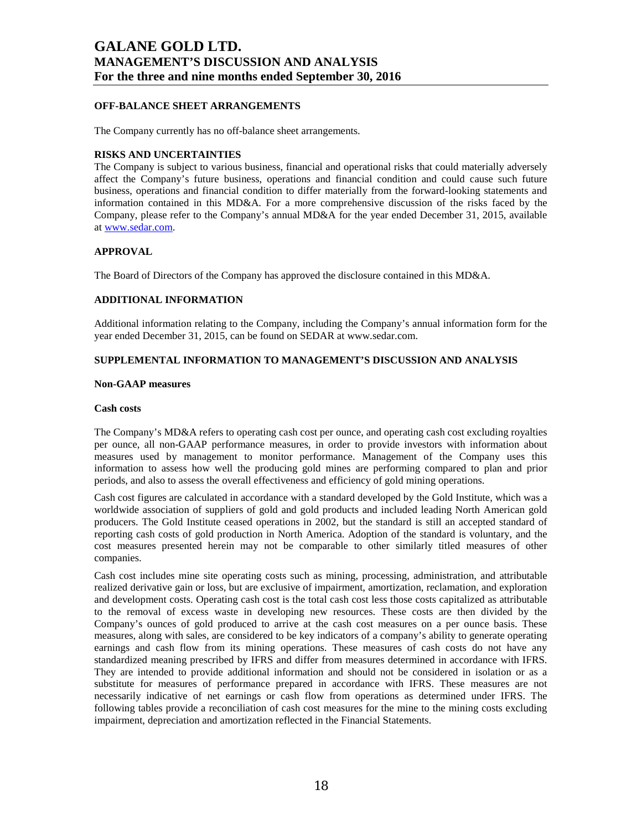## **OFF-BALANCE SHEET ARRANGEMENTS**

The Company currently has no off-balance sheet arrangements.

### **RISKS AND UNCERTAINTIES**

The Company is subject to various business, financial and operational risks that could materially adversely affect the Company's future business, operations and financial condition and could cause such future business, operations and financial condition to differ materially from the forward-looking statements and information contained in this MD&A. For a more comprehensive discussion of the risks faced by the Company, please refer to the Company's annual MD&A for the year ended December 31, 2015, available at www.sedar.com.

### **APPROVAL**

The Board of Directors of the Company has approved the disclosure contained in this MD&A.

### **ADDITIONAL INFORMATION**

Additional information relating to the Company, including the Company's annual information form for the year ended December 31, 2015, can be found on SEDAR at www.sedar.com.

### **SUPPLEMENTAL INFORMATION TO MANAGEMENT'S DISCUSSION AND ANALYSIS**

#### **Non-GAAP measures**

#### **Cash costs**

The Company's MD&A refers to operating cash cost per ounce, and operating cash cost excluding royalties per ounce, all non-GAAP performance measures, in order to provide investors with information about measures used by management to monitor performance. Management of the Company uses this information to assess how well the producing gold mines are performing compared to plan and prior periods, and also to assess the overall effectiveness and efficiency of gold mining operations.

Cash cost figures are calculated in accordance with a standard developed by the Gold Institute, which was a worldwide association of suppliers of gold and gold products and included leading North American gold producers. The Gold Institute ceased operations in 2002, but the standard is still an accepted standard of reporting cash costs of gold production in North America. Adoption of the standard is voluntary, and the cost measures presented herein may not be comparable to other similarly titled measures of other companies.

Cash cost includes mine site operating costs such as mining, processing, administration, and attributable realized derivative gain or loss, but are exclusive of impairment, amortization, reclamation, and exploration and development costs. Operating cash cost is the total cash cost less those costs capitalized as attributable to the removal of excess waste in developing new resources. These costs are then divided by the Company's ounces of gold produced to arrive at the cash cost measures on a per ounce basis. These measures, along with sales, are considered to be key indicators of a company's ability to generate operating earnings and cash flow from its mining operations. These measures of cash costs do not have any standardized meaning prescribed by IFRS and differ from measures determined in accordance with IFRS. They are intended to provide additional information and should not be considered in isolation or as a substitute for measures of performance prepared in accordance with IFRS. These measures are not necessarily indicative of net earnings or cash flow from operations as determined under IFRS. The following tables provide a reconciliation of cash cost measures for the mine to the mining costs excluding impairment, depreciation and amortization reflected in the Financial Statements.